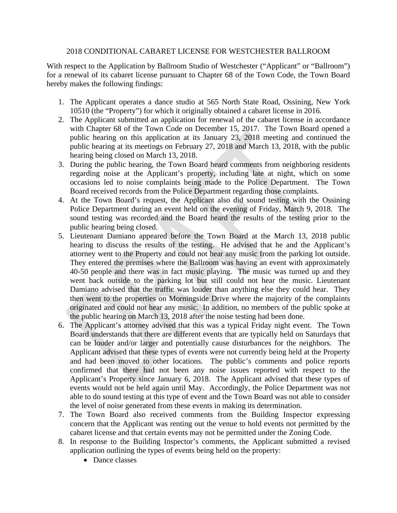## 2018 CONDITIONAL CABARET LICENSE FOR WESTCHESTER BALLROOM

With respect to the Application by Ballroom Studio of Westchester ("Applicant" or "Ballroom") for a renewal of its cabaret license pursuant to Chapter 68 of the Town Code, the Town Board hereby makes the following findings:

- 1. The Applicant operates a dance studio at 565 North State Road, Ossining, New York 10510 (the "Property") for which it originally obtained a cabaret license in 2016.
- 2. The Applicant submitted an application for renewal of the cabaret license in accordance with Chapter 68 of the Town Code on December 15, 2017. The Town Board opened a public hearing on this application at its January 23, 2018 meeting and continued the public hearing at its meetings on February 27, 2018 and March 13, 2018, with the public hearing being closed on March 13, 2018.
- 3. During the public hearing, the Town Board heard comments from neighboring residents regarding noise at the Applicant's property, including late at night, which on some occasions led to noise complaints being made to the Police Department. The Town Board received records from the Police Department regarding those complaints.
- 4. At the Town Board's request, the Applicant also did sound testing with the Ossining Police Department during an event held on the evening of Friday, March 9, 2018. The sound testing was recorded and the Board heard the results of the testing prior to the public hearing being closed.
- 5. Lieutenant Damiano appeared before the Town Board at the March 13, 2018 public hearing to discuss the results of the testing. He advised that he and the Applicant's attorney went to the Property and could not hear any music from the parking lot outside. They entered the premises where the Ballroom was having an event with approximately 40-50 people and there was in fact music playing. The music was turned up and they went back outside to the parking lot but still could not hear the music. Lieutenant Damiano advised that the traffic was louder than anything else they could hear. They then went to the properties on Morningside Drive where the majority of the complaints originated and could not hear any music. In addition, no members of the public spoke at the public hearing on March 13, 2018 after the noise testing had been done.
- 6. The Applicant's attorney advised that this was a typical Friday night event. The Town Board understands that there are different events that are typically held on Saturdays that can be louder and/or larger and potentially cause disturbances for the neighbors. The Applicant advised that these types of events were not currently being held at the Property and had been moved to other locations. The public's comments and police reports confirmed that there had not been any noise issues reported with respect to the Applicant's Property since January 6, 2018. The Applicant advised that these types of events would not be held again until May. Accordingly, the Police Department was not able to do sound testing at this type of event and the Town Board was not able to consider the level of noise generated from these events in making its determination.
- 7. The Town Board also received comments from the Building Inspector expressing concern that the Applicant was renting out the venue to hold events not permitted by the cabaret license and that certain events may not be permitted under the Zoning Code.
- 8. In response to the Building Inspector's comments, the Applicant submitted a revised application outlining the types of events being held on the property:
	- Dance classes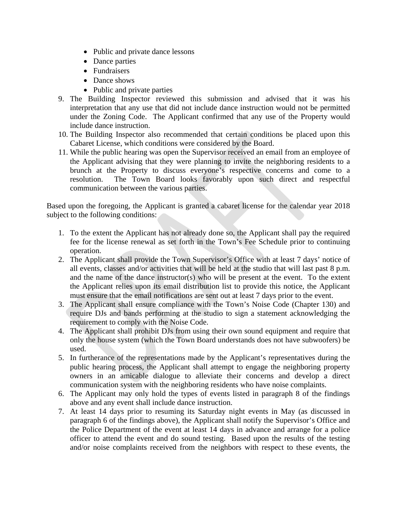- Public and private dance lessons
- Dance parties
- Fundraisers
- Dance shows
- Public and private parties
- 9. The Building Inspector reviewed this submission and advised that it was his interpretation that any use that did not include dance instruction would not be permitted under the Zoning Code. The Applicant confirmed that any use of the Property would include dance instruction.
- 10. The Building Inspector also recommended that certain conditions be placed upon this Cabaret License, which conditions were considered by the Board.
- 11. While the public hearing was open the Supervisor received an email from an employee of the Applicant advising that they were planning to invite the neighboring residents to a brunch at the Property to discuss everyone's respective concerns and come to a resolution. The Town Board looks favorably upon such direct and respectful communication between the various parties.

Based upon the foregoing, the Applicant is granted a cabaret license for the calendar year 2018 subject to the following conditions:

- 1. To the extent the Applicant has not already done so, the Applicant shall pay the required fee for the license renewal as set forth in the Town's Fee Schedule prior to continuing operation.
- 2. The Applicant shall provide the Town Supervisor's Office with at least 7 days' notice of all events, classes and/or activities that will be held at the studio that will last past 8 p.m. and the name of the dance instructor(s) who will be present at the event. To the extent the Applicant relies upon its email distribution list to provide this notice, the Applicant must ensure that the email notifications are sent out at least 7 days prior to the event.
- 3. The Applicant shall ensure compliance with the Town's Noise Code (Chapter 130) and require DJs and bands performing at the studio to sign a statement acknowledging the requirement to comply with the Noise Code.
- 4. The Applicant shall prohibit DJs from using their own sound equipment and require that only the house system (which the Town Board understands does not have subwoofers) be used.
- 5. In furtherance of the representations made by the Applicant's representatives during the public hearing process, the Applicant shall attempt to engage the neighboring property owners in an amicable dialogue to alleviate their concerns and develop a direct communication system with the neighboring residents who have noise complaints.
- 6. The Applicant may only hold the types of events listed in paragraph 8 of the findings above and any event shall include dance instruction.
- 7. At least 14 days prior to resuming its Saturday night events in May (as discussed in paragraph 6 of the findings above), the Applicant shall notify the Supervisor's Office and the Police Department of the event at least 14 days in advance and arrange for a police officer to attend the event and do sound testing. Based upon the results of the testing and/or noise complaints received from the neighbors with respect to these events, the